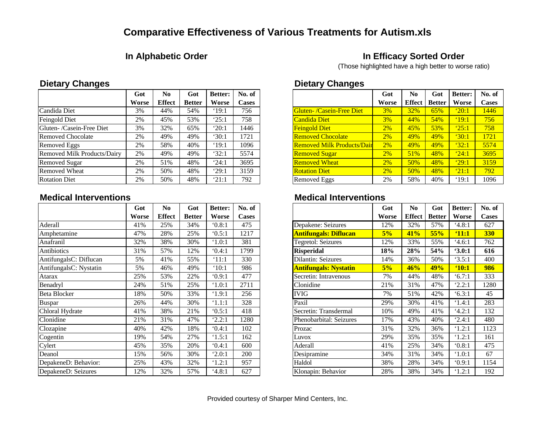# **Comparative Effectiveness of Various Treatments for Autism.xls**

## **In Alphabetic Order In Efficacy Sorted Order**

(Those highlighted have a high better to worse ratio)

|                             | Got   | N <sub>0</sub> | Got           | <b>Better:</b> | No. of       |                                   | Got   | N <sub>0</sub> | Got           | <b>Better:</b> | No. 0        |
|-----------------------------|-------|----------------|---------------|----------------|--------------|-----------------------------------|-------|----------------|---------------|----------------|--------------|
|                             | Worse | Effect         | <b>Better</b> | Worse          | <b>Cases</b> |                                   | Worse | Effect         | <b>Better</b> | Worse          | <b>Case:</b> |
| Candida Diet                | 3%    | 44%            | 54%           | $^{\circ}19:1$ | 756          | <b>Gluten- /Casein-Free Diet</b>  | 3%    | 32%            | 65%           | $^{\circ}20:1$ | 1446         |
| Feingold Diet               | 2%    | 45%            | 53%           | '25:1          | 758          | Candida Diet                      | 3%    | 44%            | 54%           | $^{\circ}19:1$ | 756          |
| Gluten- /Casein-Free Diet   | 3%    | 32%            | 65%           | '20:1          | 1446         | <b>Feingold Diet</b>              | 2%    | 45%            | 53%           | 25:1           | 758          |
| <b>Removed Chocolate</b>    | 2%    | 49%            | 49%           | 30:1           | 1721         | <b>Removed Chocolate</b>          | 2%    | 49%            | 49%           | $^{\circ}30:1$ | 1721         |
| Removed Eggs                | 2%    | 58%            | 40%           | '19:1          | 1096         | <b>Removed Milk Products/Dair</b> | 2%    | 49%            | 49%           | 32:1           | 5574         |
| Removed Milk Products/Dairy | 2%    | 49%            | 49%           | 32:1           | 5574         | <b>Removed Sugar</b>              | 2%    | 51%            | 48%           | 24:1           | 3695         |
| <b>Removed Sugar</b>        | 2%    | 51%            | 48%           | 24:1           | 3695         | <b>Removed Wheat</b>              | 2%    | 50%            | 48%           | 29:1           | 3159         |
| <b>Removed Wheat</b>        | 2%    | 50%            | 48%           | '29:1          | 3159         | <b>Rotation Diet</b>              | 2%    | 50%            | 48%           | $^{\circ}21:1$ | 792          |
| <b>Rotation Diet</b>        | 2%    | 50%            | 48%           | '21:1          | 792          | <b>Removed Eggs</b>               | 2%    | 58%            | 40%           | $^{\circ}19:1$ | 1096         |

|                        | Got   | N <sub>0</sub> | Got           | <b>Better:</b>  | No. of       |                         | Got   | N <sub>0</sub> | Got           | Better:         |
|------------------------|-------|----------------|---------------|-----------------|--------------|-------------------------|-------|----------------|---------------|-----------------|
|                        | Worse | <b>Effect</b>  | <b>Better</b> | Worse           | <b>Cases</b> |                         | Worse | <b>Effect</b>  | <b>Better</b> | Worse           |
| Aderall                | 41%   | 25%            | 34%           | 0.8:1           | 475          | Depakene: Seizures      | 12%   | 32%            | 57%           | 4.8:1           |
| Amphetamine            | 47%   | 28%            | 25%           | 0.5:1           | 1217         | Antifungals: Diflucan   | 5%    | 41%            | 55%           | $^41:1$         |
| Anafranil              | 32%   | 38%            | 30%           | `1.0:1          | 381          | Tegretol: Seizures      | 12%   | 33%            | 55%           | 4.6:1           |
| Antibiotics            | 31%   | 57%            | 12%           | 0.4:1           | 1799         | <b>Risperidal</b>       | 18%   | 28%            | 54%           | 3.0:1           |
| AntifungalsC: Diflucan | 5%    | 41%            | 55%           | '11:1           | 330          | Dilantin: Seizures      | 14%   | 36%            | 50%           | 3.5:1           |
| AntifungalsC: Nystatin | 5%    | 46%            | 49%           | '10:1           | 986          | Antifungals: Nystatin   | 5%    | 46%            | 49%           | 9:10:1          |
| Atarax                 | 25%   | 53%            | 22%           | 0.9:1           | 477          | Secretin: Intravenous   | 7%    | 44%            | 48%           | 6.7:1           |
| Benadryl               | 24%   | 51%            | 25%           | `1.0:1          | 2711         | Clonidine               | 21%   | 31%            | 47%           | '2.2:1          |
| Beta Blocker           | 18%   | 50%            | 33%           | '1.9:1          | 256          | IVIG                    | 7%    | 51%            | 42%           | 6.3:1           |
| Buspar                 | 26%   | 44%            | 30%           | '1.1:1          | 328          | Paxil                   | 29%   | 30%            | 41%           | '1.4:1          |
| Chloral Hydrate        | 41%   | 38%            | 21%           | 0.5:1           | 418          | Secretin: Transdermal   | 10%   | 49%            | 41%           | 4.2:1           |
| Clonidine              | 21%   | 31%            | 47%           | 2.2:1           | 1280         | Phenobarbital: Seizures | 17%   | 43%            | 40%           | 2.4:1           |
| Clozapine              | 40%   | 42%            | 18%           | 0.4:1           | 102          | Prozac                  | 31%   | 32%            | 36%           | '1.2:1          |
| Cogentin               | 19%   | 54%            | 27%           | $^{\circ}1.5:1$ | 162          | Luvox                   | 29%   | 35%            | 35%           | '1.2:1          |
| Cylert                 | 45%   | 35%            | 20%           | 0.4:1           | 600          | Aderall                 | 41%   | 25%            | 34%           | 0.8:1           |
| Deanol                 | 15%   | 56%            | 30%           | 2.0:1           | 200          | Desipramine             | 34%   | 31%            | 34%           | $^{\circ}1.0:1$ |
| DepakeneD: Behavior:   | 25%   | 43%            | 32%           | '1.2:1          | 957          | Haldol                  | 38%   | 28%            | 34%           | 0.9:1           |
| DepakeneD: Seizures    | 12%   | 32%            | 57%           | 4.8:1           | 627          | Klonapin: Behavior      | 28%   | 38%            | 34%           | '1.2:1          |

### **Dietary Changes Dietary Changes**

|                                   | Got       | N <sub>0</sub> | Got           | <b>Better:</b> | No. of       |
|-----------------------------------|-----------|----------------|---------------|----------------|--------------|
|                                   | Worse     | <b>Effect</b>  | <b>Better</b> | Worse          | <b>Cases</b> |
| <b>Gluten- /Casein-Free Diet</b>  | $3\%$     | <b>32%</b>     | 65%           | 20:1           | 1446         |
| <b>Candida Diet</b>               | 3%        | 44%            | 54%           | $^4$ 19:1      | 756          |
| <b>Feingold Diet</b>              | 2%        | 45%            | 53%           | 25:1           | 758          |
| <b>Removed Chocolate</b>          | <b>2%</b> | 49%            | 49%           | $^{\circ}30:1$ | 1721         |
| <b>Removed Milk Products/Dair</b> | 2%        | 49%            | 49%           | 32:1           | 5574         |
| <b>Removed Sugar</b>              | 2%        | 51%            | 48%           | 24:1           | 3695         |
| <b>Removed Wheat</b>              | 2%        | 50%            | 48%           | 29:1           | 3159         |
| <b>Rotation Diet</b>              | 2%        | 50%            | 48%           | 21:1           | 792          |
| <b>Removed Eggs</b>               | 2%        | 58%            | 40%           | $^{\circ}19:1$ | 1096         |

### **Medical Interventions Medical Interventions**

|                              | Got   | No            | Got           | <b>Better:</b> | No. of       |
|------------------------------|-------|---------------|---------------|----------------|--------------|
|                              | Worse | <b>Effect</b> | <b>Better</b> | Worse          | <b>Cases</b> |
| Depakene: Seizures           | 12%   | 32%           | 57%           | 4.8:1          | 627          |
| <b>Antifungals: Diflucan</b> | 5%    | 41%           | 55%           | $^41:1$        | 330          |
| <b>Tegretol: Seizures</b>    | 12%   | 33%           | 55%           | 4.6:1          | 762          |
| <b>Risperidal</b>            | 18%   | 28%           | 54%           | 3.0:1          | 616          |
| Dilantin: Seizures           | 14%   | 36%           | 50%           | 3.5:1          | 400          |
| <b>Antifungals: Nystatin</b> | 5%    | 46%           | 49%           | 610:1          | 986          |
| Secretin: Intravenous        | 7%    | 44%           | 48%           | 6.7:1          | 333          |
| Clonidine                    | 21%   | 31%           | 47%           | 2.2:1          | 1280         |
| <b>IVIG</b>                  | 7%    | 51%           | 42%           | 6.3:1          | 45           |
| Paxil                        | 29%   | 30%           | 41%           | 1.4:1          | 283          |
| Secretin: Transdermal        | 10%   | 49%           | 41%           | 4.2:1          | 132          |
| Phenobarbital: Seizures      | 17%   | 43%           | 40%           | 2.4:1          | 480          |
| Prozac                       | 31%   | 32%           | 36%           | 1.2:1          | 1123         |
| Luvox                        | 29%   | 35%           | 35%           | 1.2:1          | 161          |
| Aderall                      | 41%   | 25%           | 34%           | 0.8:1          | 475          |
| Desipramine                  | 34%   | 31%           | 34%           | 1.0:1          | 67           |
| Haldol                       | 38%   | 28%           | 34%           | 0.9:1          | 1154         |
| Klonapin: Behavior           | 28%   | 38%           | 34%           | 1.2:1          | 192          |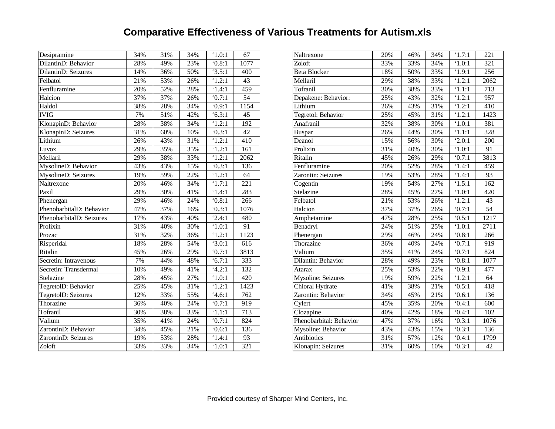# **Comparative Effectiveness of Various Treatments for Autism.xls**

| Desipramine              | 34% | 31% | 34% | $^{\circ}1.0:1$ | 67               | Naltrexone                | 20% | 46% | 34% | $^{\circ}1.7:1$     |
|--------------------------|-----|-----|-----|-----------------|------------------|---------------------------|-----|-----|-----|---------------------|
| DilantinD: Behavior      | 28% | 49% | 23% | 0.8:1           | 1077             | Zoloft                    | 33% | 33% | 34% | $^{\circ}1.0:1$     |
| DilantinD: Seizures      | 14% | 36% | 50% | 3.5:1           | 400              | <b>Beta Blocker</b>       | 18% | 50% | 33% | $^{\circ}1.9:1$     |
| Felbatol                 | 21% | 53% | 26% | 1.2:1           | 43               | Mellaril                  | 29% | 38% | 33% | '1.2:1              |
| Fenfluramine             | 20% | 52% | 28% | '1.4:1          | 459              | Tofranil                  | 30% | 38% | 33% | '1.1:1              |
| Halcion                  | 37% | 37% | 26% | 0.7:1           | $\overline{54}$  | Depakene: Behavior:       | 25% | 43% | 32% | 1.2:1               |
| Haldol                   | 38% | 28% | 34% | 0.9:1           | 1154             | Lithium                   | 26% | 43% | 31% | '1.2:1              |
| <b>IVIG</b>              | 7%  | 51% | 42% | 6.3:1           | 45               | Tegretol: Behavior        | 25% | 45% | 31% | '1.2:1              |
| KlonapinD: Behavior      | 28% | 38% | 34% | '1.2:1          | 192              | Anafranil                 | 32% | 38% | 30% | $^{\circ}1.0:1$     |
| KlonapinD: Seizures      | 31% | 60% | 10% | 0.3:1           | 42               | <b>Buspar</b>             | 26% | 44% | 30% | '1.1:1              |
| Lithium                  | 26% | 43% | 31% | 1.2:1           | 410              | Deanol                    | 15% | 56% | 30% | '2.0:1              |
| Luvox                    | 29% | 35% | 35% | '1.2:1          | 161              | Prolixin                  | 31% | 40% | 30% | $^{\circ}1.0:1$     |
| Mellaril                 | 29% | 38% | 33% | '1.2:1          | 2062             | Ritalin                   | 45% | 26% | 29% | 0.7:1               |
| MysolineD: Behavior      | 43% | 43% | 15% | 0.3:1           | 136              | Fenfluramine              | 20% | 52% | 28% | '1.4:1              |
| MysolineD: Seizures      | 19% | 59% | 22% | '1.2:1          | 64               | Zarontin: Seizures        | 19% | 53% | 28% | $\overline{1}$ .4:1 |
| Naltrexone               | 20% | 46% | 34% | `1.7:1          | 221              | Cogentin                  | 19% | 54% | 27% | '1.5:1              |
| Paxil                    | 29% | 30% | 41% | '1.4:1          | 283              | Stelazine                 | 28% | 45% | 27% | `1.0:1              |
| Phenergan                | 29% | 46% | 24% | 0.8:1           | 266              | Felbatol                  | 21% | 53% | 26% | '1.2:1              |
| PhenobarbitalD: Behavior | 47% | 37% | 16% | 0.3:1           | 1076             | Halcion                   | 37% | 37% | 26% | 0.7:1               |
| PhenobarbitalD: Seizures | 17% | 43% | 40% | 2.4:1           | 480              | Amphetamine               | 47% | 28% | 25% | 0.5:1               |
| Prolixin                 | 31% | 40% | 30% | $^{\circ}1.0:1$ | $\overline{91}$  | Benadryl                  | 24% | 51% | 25% | 1.0:1               |
| Prozac                   | 31% | 32% | 36% | 1.2:1           | 1123             | Phenergan                 | 29% | 46% | 24% | 0.8:1               |
| Risperidal               | 18% | 28% | 54% | 3.0:1           | 616              | Thorazine                 | 36% | 40% | 24% | 0.7:1               |
| Ritalin                  | 45% | 26% | 29% | 0.7:1           | 3813             | Valium                    | 35% | 41% | 24% | `0.7:1              |
| Secretin: Intravenous    | 7%  | 44% | 48% | 6.7:1           | 333              | Dilantin: Behavior        | 28% | 49% | 23% | 0.8:1               |
| Secretin: Transdermal    | 10% | 49% | 41% | 4.2:1           | 132              | Atarax                    | 25% | 53% | 22% | 0.9:1               |
| Stelazine                | 28% | 45% | 27% | $^{\circ}1.0:1$ | 420              | <b>Mysoline: Seizures</b> | 19% | 59% | 22% | 1.2:1               |
| TegretolD: Behavior      | 25% | 45% | 31% | '1.2:1          | 1423             | Chloral Hydrate           | 41% | 38% | 21% | 0.5:1               |
| TegretolD: Seizures      | 12% | 33% | 55% | 4.6:1           | 762              | Zarontin: Behavior        | 34% | 45% | 21% | 0.6:1               |
| Thorazine                | 36% | 40% | 24% | 0.7:1           | 919              | Cylert                    | 45% | 35% | 20% | 0.4:1               |
| Tofranil                 | 30% | 38% | 33% | '1.1:1          | $\overline{713}$ | Clozapine                 | 40% | 42% | 18% | 0.4:1               |
| Valium                   | 35% | 41% | 24% | 0.7:1           | 824              | Phenobarbital: Behavior   | 47% | 37% | 16% | 0.3:1               |
| ZarontinD: Behavior      | 34% | 45% | 21% | 0.6:1           | 136              | Mysoline: Behavior        | 43% | 43% | 15% | 0.3:1               |
| ZarontinD: Seizures      | 19% | 53% | 28% | '1.4:1          | 93               | Antibiotics               | 31% | 57% | 12% | 0.4:1               |
| Zoloft                   | 33% | 33% | 34% | `1.0:1          | $\overline{321}$ | Klonapin: Seizures        | 31% | 60% | 10% | 0.3:1               |

|                         | 20% | 46% | 34% | '1.7:1          | 221             |
|-------------------------|-----|-----|-----|-----------------|-----------------|
| Naltrexone              |     |     |     |                 |                 |
| Zoloft                  | 33% | 33% | 34% | `1.0:1          | 321             |
| <b>Beta Blocker</b>     | 18% | 50% | 33% | '1.9:1          | 256             |
| Mellaril                | 29% | 38% | 33% | '1.2:1          | 2062            |
| Tofranil                | 30% | 38% | 33% | '1.1:1          | 713             |
| Depakene: Behavior:     | 25% | 43% | 32% | '1.2:1          | 957             |
| Lithium                 | 26% | 43% | 31% | '1.2:1          | 410             |
| Tegretol: Behavior      | 25% | 45% | 31% | '1.2:1          | 1423            |
| Anafranil               | 32% | 38% | 30% | $^{\circ}1.0:1$ | 381             |
| Buspar                  | 26% | 44% | 30% | '1.1:1          | 328             |
| Deanol                  | 15% | 56% | 30% | '2.0:1          | 200             |
| Prolixin                | 31% | 40% | 30% | `1.0:1          | 91              |
| Ritalin                 | 45% | 26% | 29% | `0.7:1          | 3813            |
| Fenfluramine            | 20% | 52% | 28% | '1.4:1          | 459             |
| Zarontin: Seizures      | 19% | 53% | 28% | '1.4:1          | 93              |
| Cogentin                | 19% | 54% | 27% | '1.5:1          | 162             |
| Stelazine               | 28% | 45% | 27% | `1.0:1          | 420             |
| Felbatol                | 21% | 53% | 26% | '1.2:1          | 43              |
| Halcion                 | 37% | 37% | 26% | `0.7:1          | $\overline{54}$ |
| Amphetamine             | 47% | 28% | 25% | 0.5:1           | 1217            |
| Benadryl                | 24% | 51% | 25% | `1.0:1          | 2711            |
| Phenergan               | 29% | 46% | 24% | 0.8:1           | 266             |
| Thorazine               | 36% | 40% | 24% | 0.7:1           | 919             |
| Valium                  | 35% | 41% | 24% | `0.7:1          | 824             |
| Dilantin: Behavior      | 28% | 49% | 23% | 0.8:1           | 1077            |
| Atarax                  | 25% | 53% | 22% | 0.9:1           | 477             |
| Mysoline: Seizures      | 19% | 59% | 22% | '1.2:1          | 64              |
| Chloral Hydrate         | 41% | 38% | 21% | 0.5:1           | 418             |
| Zarontin: Behavior      | 34% | 45% | 21% | 0.6:1           | 136             |
| Cylert                  | 45% | 35% | 20% | 0.4:1           | 600             |
| Clozapine               | 40% | 42% | 18% | 0.4:1           | 102             |
| Phenobarbital: Behavior | 47% | 37% | 16% | 0.3:1           | 1076            |
| Mysoline: Behavior      | 43% | 43% | 15% | 0.3:1           | 136             |
| Antibiotics             | 31% | 57% | 12% | 0.4:1           | 1799            |
| Klonapin: Seizures      | 31% | 60% | 10% | 0.3:1           | 42              |